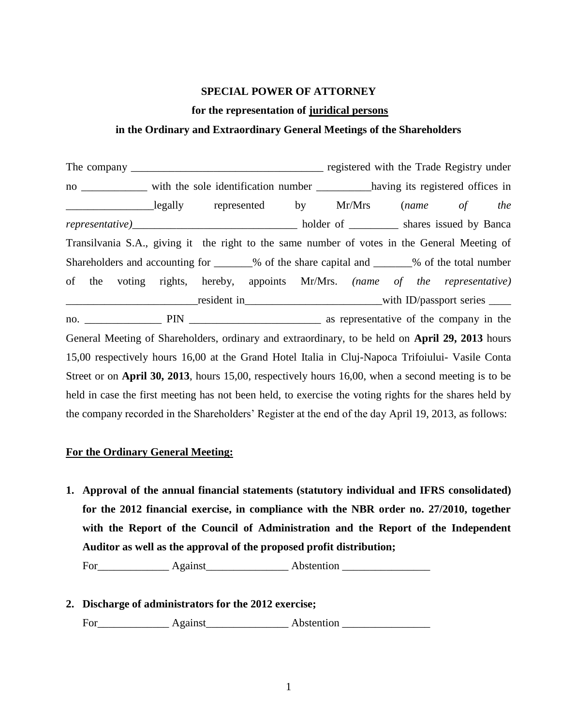## **SPECIAL POWER OF ATTORNEY**

### **for the representation of juridical persons**

### **in the Ordinary and Extraordinary General Meetings of the Shareholders**

The company \_\_\_\_\_\_\_\_\_\_\_\_\_\_\_\_\_\_\_\_\_\_\_\_\_\_\_\_\_\_\_\_\_\_\_ registered with the Trade Registry under no \_\_\_\_\_\_\_\_\_\_\_\_ with the sole identification number \_\_\_\_\_\_\_\_\_\_\_having its registered offices in \_\_\_\_\_\_\_\_\_\_\_\_\_\_\_\_legally represented by Mr/Mrs (*name of the representative)*\_\_\_\_\_\_\_\_\_\_\_\_\_\_\_\_\_\_\_\_\_\_\_\_\_\_\_\_\_\_ holder of \_\_\_\_\_\_\_\_\_ shares issued by Banca Transilvania S.A., giving it the right to the same number of votes in the General Meeting of Shareholders and accounting for \_\_\_\_\_\_\_% of the share capital and \_\_\_\_\_\_\_% of the total number of the voting rights, hereby, appoints Mr/Mrs. *(name of the representative)* position of the contract of the contract of the contract of the contract of the contract of the contract of the contract of the contract of the contract of the contract of the contract of the contract of the contract of th no. **The PIN** as representative of the company in the General Meeting of Shareholders, ordinary and extraordinary, to be held on **April 29, 2013** hours 15,00 respectively hours 16,00 at the Grand Hotel Italia in Cluj-Napoca Trifoiului- Vasile Conta Street or on **April 30, 2013**, hours 15,00, respectively hours 16,00, when a second meeting is to be held in case the first meeting has not been held, to exercise the voting rights for the shares held by the company recorded in the Shareholders' Register at the end of the day April 19, 2013, as follows:

### **For the Ordinary General Meeting:**

**1. Approval of the annual financial statements (statutory individual and IFRS consolidated) for the 2012 financial exercise, in compliance with the NBR order no. 27/2010, together with the Report of the Council of Administration and the Report of the Independent Auditor as well as the approval of the proposed profit distribution;**

For Against Abstention

**2. Discharge of administrators for the 2012 exercise;**  For\_\_\_\_\_\_\_\_\_\_\_\_\_ Against\_\_\_\_\_\_\_\_\_\_\_\_\_\_\_ Abstention \_\_\_\_\_\_\_\_\_\_\_\_\_\_\_\_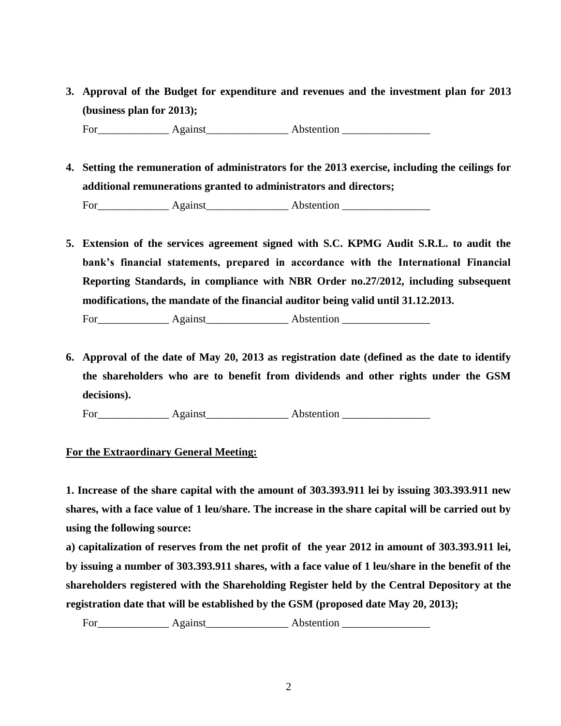**3. Approval of the Budget for expenditure and revenues and the investment plan for 2013 (business plan for 2013);** 

For Against Abstention **Abstention** 

**4. Setting the remuneration of administrators for the 2013 exercise, including the ceilings for additional remunerations granted to administrators and directors;**

For\_\_\_\_\_\_\_\_\_\_\_\_\_ Against\_\_\_\_\_\_\_\_\_\_\_\_\_\_\_ Abstention \_\_\_\_\_\_\_\_\_\_\_\_\_\_\_\_

**5. Extension of the services agreement signed with S.C. KPMG Audit S.R.L. to audit the bank's financial statements, prepared in accordance with the International Financial Reporting Standards, in compliance with NBR Order no.27/2012, including subsequent modifications, the mandate of the financial auditor being valid until 31.12.2013.**

For Against Abstention **Against** 

**6. Approval of the date of May 20, 2013 as registration date (defined as the date to identify the shareholders who are to benefit from dividends and other rights under the GSM decisions).** 

For Against Abstention

# **For the Extraordinary General Meeting:**

**1. Increase of the share capital with the amount of 303.393.911 lei by issuing 303.393.911 new shares, with a face value of 1 leu/share. The increase in the share capital will be carried out by using the following source:**

**a) capitalization of reserves from the net profit of the year 2012 in amount of 303.393.911 lei, by issuing a number of 303.393.911 shares, with a face value of 1 leu/share in the benefit of the shareholders registered with the Shareholding Register held by the Central Depository at the registration date that will be established by the GSM (proposed date May 20, 2013);** 

For\_\_\_\_\_\_\_\_\_\_\_\_\_ Against\_\_\_\_\_\_\_\_\_\_\_\_\_\_\_ Abstention \_\_\_\_\_\_\_\_\_\_\_\_\_\_\_\_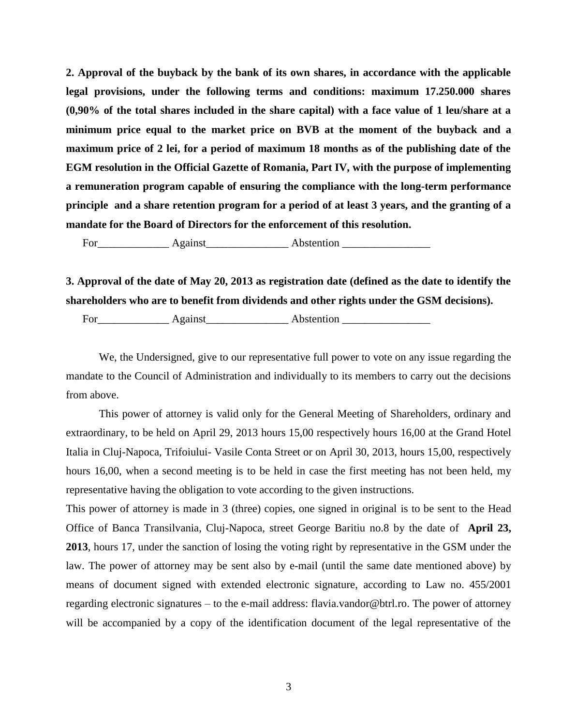**2. Approval of the buyback by the bank of its own shares, in accordance with the applicable legal provisions, under the following terms and conditions: maximum 17.250.000 shares (0,90% of the total shares included in the share capital) with a face value of 1 leu/share at a minimum price equal to the market price on BVB at the moment of the buyback and a maximum price of 2 lei, for a period of maximum 18 months as of the publishing date of the EGM resolution in the Official Gazette of Romania, Part IV, with the purpose of implementing a remuneration program capable of ensuring the compliance with the long-term performance principle and a share retention program for a period of at least 3 years, and the granting of a mandate for the Board of Directors for the enforcement of this resolution.** 

For\_\_\_\_\_\_\_\_\_\_\_\_\_ Against\_\_\_\_\_\_\_\_\_\_\_\_\_\_\_ Abstention \_\_\_\_\_\_\_\_\_\_\_\_\_\_\_\_

**3. Approval of the date of May 20, 2013 as registration date (defined as the date to identify the shareholders who are to benefit from dividends and other rights under the GSM decisions).** 

For Against Abstention **Abstention** 

We, the Undersigned, give to our representative full power to vote on any issue regarding the mandate to the Council of Administration and individually to its members to carry out the decisions from above.

This power of attorney is valid only for the General Meeting of Shareholders, ordinary and extraordinary, to be held on April 29, 2013 hours 15,00 respectively hours 16,00 at the Grand Hotel Italia in Cluj-Napoca, Trifoiului- Vasile Conta Street or on April 30, 2013, hours 15,00, respectively hours 16,00, when a second meeting is to be held in case the first meeting has not been held, my representative having the obligation to vote according to the given instructions.

This power of attorney is made in 3 (three) copies, one signed in original is to be sent to the Head Office of Banca Transilvania, Cluj-Napoca, street George Baritiu no.8 by the date of **April 23, 2013**, hours 17, under the sanction of losing the voting right by representative in the GSM under the law. The power of attorney may be sent also by e-mail (until the same date mentioned above) by means of document signed with extended electronic signature, according to Law no. 455/2001 regarding electronic signatures – to the e-mail address: flavia.vandor@btrl.ro. The power of attorney will be accompanied by a copy of the identification document of the legal representative of the